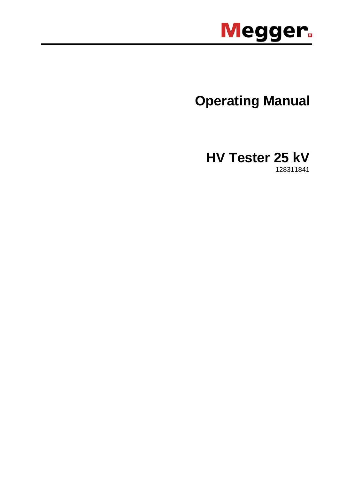

**Operating Manual**

## **HV Tester 25 kV**

128311841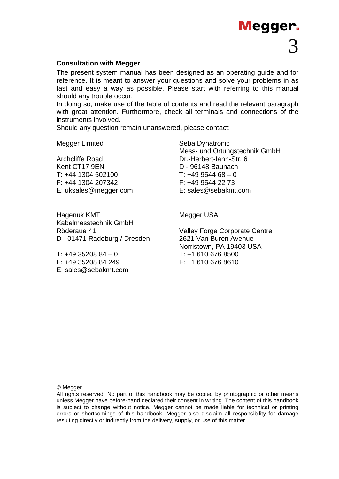3

#### **Consultation with Megger**

The present system manual has been designed as an operating guide and for reference. It is meant to answer your questions and solve your problems in as fast and easy a way as possible. Please start with referring to this manual should any trouble occur.

In doing so, make use of the table of contents and read the relevant paragraph with great attention. Furthermore, check all terminals and connections of the instruments involved.

Should any question remain unanswered, please contact:

Megger Limited Seba Dynatronic

Archcliffe Road Kent CT17 9EN T: +44 1304 502100 F: +44 1304 207342 E: uksales@megger.com Mess- und Ortungstechnik GmbH Dr.-Herbert-Iann-Str. 6 D - 96148 Baunach  $T: +49994468 - 0$ F: +49 9544 22 73 E: sales@sebakmt.com

Hagenuk KMT Kabelmesstechnik GmbH Röderaue 41 D - 01471 Radeburg / Dresden

 $T: +493320884 - 0$ F: +49 35208 84 249 E: sales@sebakmt.com Megger USA

Valley Forge Corporate Centre 2621 Van Buren Avenue Norristown, PA 19403 USA T: +1 610 676 8500 F: +1 610 676 8610

Megger

All rights reserved. No part of this handbook may be copied by photographic or other means unless Megger have before-hand declared their consent in writing. The content of this handbook is subject to change without notice. Megger cannot be made liable for technical or printing errors or shortcomings of this handbook. Megger also disclaim all responsibility for damage resulting directly or indirectly from the delivery, supply, or use of this matter.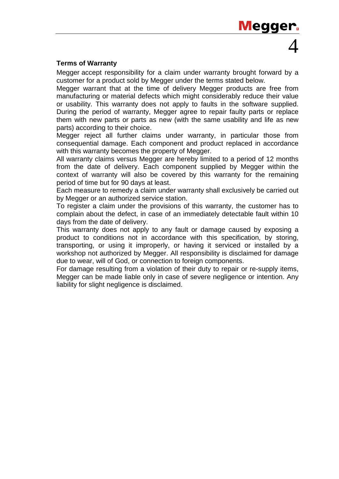4

#### **Terms of Warranty**

Megger accept responsibility for a claim under warranty brought forward by a customer for a product sold by Megger under the terms stated below.

Megger warrant that at the time of delivery Megger products are free from manufacturing or material defects which might considerably reduce their value or usability. This warranty does not apply to faults in the software supplied. During the period of warranty, Megger agree to repair faulty parts or replace them with new parts or parts as new (with the same usability and life as new parts) according to their choice.

Megger reject all further claims under warranty, in particular those from consequential damage. Each component and product replaced in accordance with this warranty becomes the property of Megger.

All warranty claims versus Megger are hereby limited to a period of 12 months from the date of delivery. Each component supplied by Megger within the context of warranty will also be covered by this warranty for the remaining period of time but for 90 days at least.

Each measure to remedy a claim under warranty shall exclusively be carried out by Megger or an authorized service station.

To register a claim under the provisions of this warranty, the customer has to complain about the defect, in case of an immediately detectable fault within 10 days from the date of delivery.

This warranty does not apply to any fault or damage caused by exposing a product to conditions not in accordance with this specification, by storing, transporting, or using it improperly, or having it serviced or installed by a workshop not authorized by Megger. All responsibility is disclaimed for damage due to wear, will of God, or connection to foreign components.

For damage resulting from a violation of their duty to repair or re-supply items, Megger can be made liable only in case of severe negligence or intention. Any liability for slight negligence is disclaimed.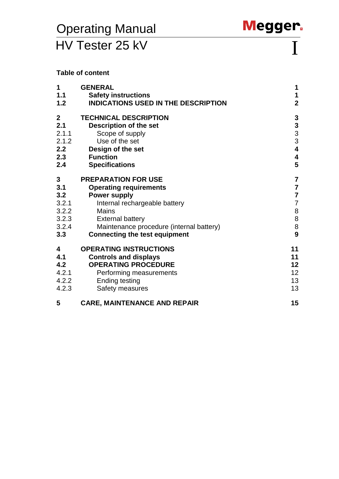## Megger.

**Table of content**

| 1                                                          | <b>GENERAL</b>                                                                                                                                                      | 1                                                                                                          |
|------------------------------------------------------------|---------------------------------------------------------------------------------------------------------------------------------------------------------------------|------------------------------------------------------------------------------------------------------------|
| 1.1                                                        | <b>Safety instructions</b>                                                                                                                                          | 1                                                                                                          |
| 1.2                                                        | <b>INDICATIONS USED IN THE DESCRIPTION</b>                                                                                                                          | $\overline{2}$                                                                                             |
| $\mathbf{2}$<br>2.1<br>2.1.1<br>2.1.2<br>2.2<br>2.3<br>2.4 | <b>TECHNICAL DESCRIPTION</b><br><b>Description of the set</b><br>Scope of supply<br>Use of the set<br>Design of the set<br><b>Function</b><br><b>Specifications</b> | 3<br>$\begin{array}{c} 3 \\ 3 \\ 3 \end{array}$<br>$\overline{\mathbf{4}}$<br>$\overline{\mathbf{4}}$<br>5 |
| 3                                                          | <b>PREPARATION FOR USE</b>                                                                                                                                          | 7                                                                                                          |
| 3.1                                                        | <b>Operating requirements</b>                                                                                                                                       | $\overline{\mathbf{7}}$                                                                                    |
| 3.2                                                        | <b>Power supply</b>                                                                                                                                                 | $\overline{\mathbf{7}}$                                                                                    |
| 3.2.1                                                      | Internal rechargeable battery                                                                                                                                       | $\overline{7}$                                                                                             |
| 3.2.2                                                      | <b>Mains</b>                                                                                                                                                        | 8                                                                                                          |
| 3.2.3                                                      | <b>External battery</b>                                                                                                                                             | $\,8\,$                                                                                                    |
| 3.2.4                                                      | Maintenance procedure (internal battery)                                                                                                                            | 8                                                                                                          |
| 3.3                                                        | <b>Connecting the test equipment</b>                                                                                                                                | 9                                                                                                          |
| 4                                                          | <b>OPERATING INSTRUCTIONS</b>                                                                                                                                       | 11                                                                                                         |
| 4.1                                                        | <b>Controls and displays</b>                                                                                                                                        | 11                                                                                                         |
| 4.2                                                        | <b>OPERATING PROCEDURE</b>                                                                                                                                          | 12                                                                                                         |
| 4.2.1                                                      | Performing measurements                                                                                                                                             | 12                                                                                                         |
| 4.2.2                                                      | <b>Ending testing</b>                                                                                                                                               | 13                                                                                                         |
| 4.2.3                                                      | Safety measures                                                                                                                                                     | 13                                                                                                         |
| 5                                                          | <b>CARE, MAINTENANCE AND REPAIR</b>                                                                                                                                 | 15                                                                                                         |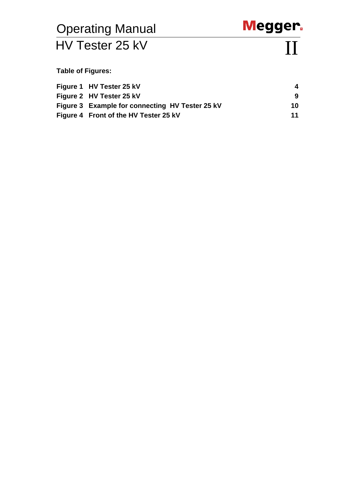| <b>Operating Manual</b>  | <b>Megger</b> |  |
|--------------------------|---------------|--|
| HV Tester 25 kV          |               |  |
| <b>Table of Figures:</b> |               |  |
| Figure 1 HV Tester 25 kV |               |  |

| $1$ IVII $\sigma$ I III III $\sigma$ III $\sigma$ III $\sigma$ |    |
|----------------------------------------------------------------|----|
| Figure 2 HV Tester 25 kV                                       |    |
| Figure 3 Example for connecting HV Tester 25 kV                | 10 |
| Figure 4 Front of the HV Tester 25 kV                          | 11 |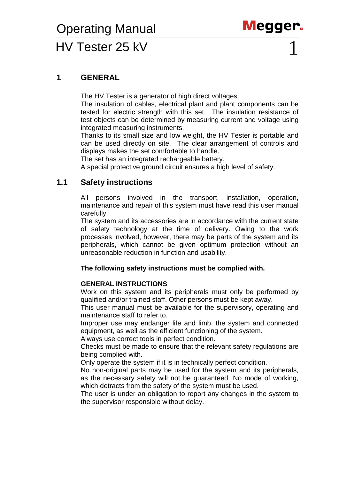## <span id="page-6-0"></span>**1 GENERAL**

The HV Tester is a generator of high direct voltages.

The insulation of cables, electrical plant and plant components can be tested for electric strength with this set. The insulation resistance of test objects can be determined by measuring current and voltage using integrated measuring instruments.

Thanks to its small size and low weight, the HV Tester is portable and can be used directly on site. The clear arrangement of controls and displays makes the set comfortable to handle.

The set has an integrated rechargeable battery.

A special protective ground circuit ensures a high level of safety.

#### <span id="page-6-1"></span>**1.1 Safety instructions**

All persons involved in the transport, installation, operation, maintenance and repair of this system must have read this user manual carefully.

The system and its accessories are in accordance with the current state of safety technology at the time of delivery. Owing to the work processes involved, however, there may be parts of the system and its peripherals, which cannot be given optimum protection without an unreasonable reduction in function and usability.

#### **The following safety instructions must be complied with.**

#### **GENERAL INSTRUCTIONS**

Work on this system and its peripherals must only be performed by qualified and/or trained staff. Other persons must be kept away.

This user manual must be available for the supervisory, operating and maintenance staff to refer to.

Improper use may endanger life and limb, the system and connected equipment, as well as the efficient functioning of the system.

Always use correct tools in perfect condition.

Checks must be made to ensure that the relevant safety regulations are being complied with.

Only operate the system if it is in technically perfect condition.

No non-original parts may be used for the system and its peripherals, as the necessary safety will not be guaranteed. No mode of working, which detracts from the safety of the system must be used.

The user is under an obligation to report any changes in the system to the supervisor responsible without delay.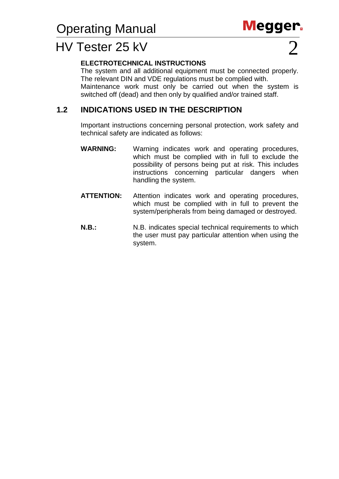## **Megger**.

#### **ELECTROTECHNICAL INSTRUCTIONS**

The system and all additional equipment must be connected properly. The relevant DIN and VDE regulations must be complied with. Maintenance work must only be carried out when the system is switched off (dead) and then only by qualified and/or trained staff.

#### <span id="page-7-0"></span>**1.2 INDICATIONS USED IN THE DESCRIPTION**

Important instructions concerning personal protection, work safety and technical safety are indicated as follows:

- **WARNING:** Warning indicates work and operating procedures, which must be complied with in full to exclude the possibility of persons being put at risk. This includes instructions concerning particular dangers when handling the system.
- **ATTENTION:** Attention indicates work and operating procedures, which must be complied with in full to prevent the system/peripherals from being damaged or destroyed.
- **N.B.:** N.B. indicates special technical requirements to which the user must pay particular attention when using the system.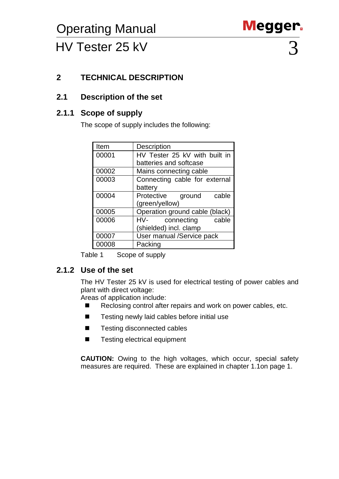## Operating Manual



# Megger.

## <span id="page-8-0"></span>**2 TECHNICAL DESCRIPTION**

#### <span id="page-8-1"></span>**2.1 Description of the set**

#### <span id="page-8-2"></span>**2.1.1 Scope of supply**

The scope of supply includes the following:

| Item  | Description                    |
|-------|--------------------------------|
| 00001 | HV Tester 25 kV with built in  |
|       | batteries and softcase         |
| 00002 | Mains connecting cable         |
| 00003 | Connecting cable for external  |
|       | battery                        |
| 00004 | Protective ground<br>cable     |
|       | (green/yellow)                 |
| 00005 | Operation ground cable (black) |
| 00006 | connecting<br>HV-<br>cable     |
|       | (shielded) incl. clamp         |
| 00007 | User manual /Service pack      |
|       | Packing                        |

Table 1 Scope of supply

#### <span id="page-8-3"></span>**2.1.2 Use of the set**

The HV Tester 25 kV is used for electrical testing of power cables and plant with direct voltage:

Areas of application include:

- Reclosing control after repairs and work on power cables, etc.
- Testing newly laid cables before initial use
- Testing disconnected cables
- Testing electrical equipment

**CAUTION:** Owing to the high voltages, which occur, special safety measures are required. These are explained in chapter [1.1o](#page-6-1)n page [1.](#page-6-1)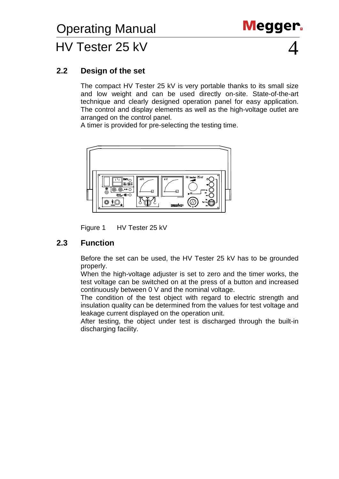#### <span id="page-9-0"></span>**2.2 Design of the set**

The compact HV Tester 25 kV is very portable thanks to its small size and low weight and can be used directly on-site. State-of-the-art technique and clearly designed operation panel for easy application. The control and display elements as well as the high-voltage outlet are arranged on the control panel.

A timer is provided for pre-selecting the testing time.



Figure 1 HV Tester 25 kV

#### <span id="page-9-2"></span><span id="page-9-1"></span>**2.3 Function**

Before the set can be used, the HV Tester 25 kV has to be grounded properly.

When the high-voltage adjuster is set to zero and the timer works, the test voltage can be switched on at the press of a button and increased continuously between 0 V and the nominal voltage.

The condition of the test object with regard to electric strength and insulation quality can be determined from the values for test voltage and leakage current displayed on the operation unit.

After testing, the object under test is discharged through the built-in discharging facility.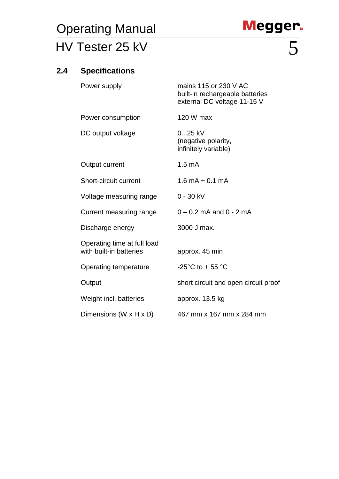Megger.

#### <span id="page-10-0"></span>**2.4 Specifications**

Power supply mains 115 or 230 V AC built-in rechargeable batteries external DC voltage 11-15 V Power consumption 120 W max DC output voltage 0...25 kV (negative polarity, infinitely variable) Output current 1.5 mA Short-circuit current  $1.6 \text{ mA} \pm 0.1 \text{ mA}$ Voltage measuring range 0 - 30 kV Current measuring range  $0 - 0.2$  mA and  $0 - 2$  mA Discharge energy 3000 J max. Operating time at full load with built-in batteries approx. 45 min Operating temperature  $-25^{\circ}$ C to + 55  $^{\circ}$ C Output **Short circuit and open circuit proof** Weight incl. batteries approx. 13.5 kg Dimensions (W  $\times$  H  $\times$  D) 467 mm  $\times$  167 mm  $\times$  284 mm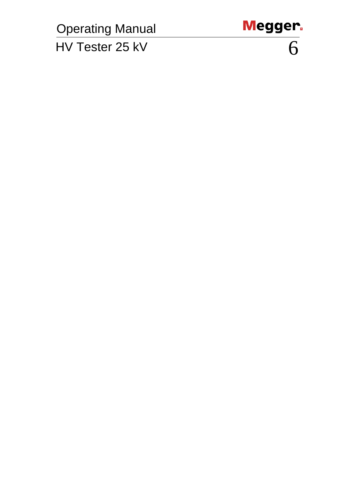6

Megger.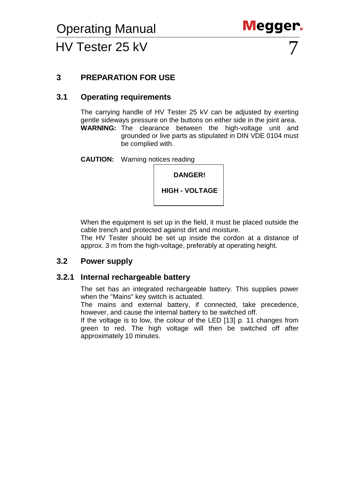

#### <span id="page-12-0"></span>**3 PREPARATION FOR USE**

#### <span id="page-12-1"></span>**3.1 Operating requirements**

The carrying handle of HV Tester 25 kV can be adjusted by exerting gentle sideways pressure on the buttons on either side in the joint area. **WARNING:** The clearance between the high-voltage unit and grounded or live parts as stipulated in DIN VDE 0104 must be complied with.

**CAUTION:** Warning notices reading

**DANGER! HIGH - VOLTAGE**

When the equipment is set up in the field, it must be placed outside the cable trench and protected against dirt and moisture.

The HV Tester should be set up inside the cordon at a distance of approx. 3 m from the high-voltage, preferably at operating height.

#### <span id="page-12-2"></span>**3.2 Power supply**

#### <span id="page-12-3"></span>**3.2.1 Internal rechargeable battery**

The set has an integrated rechargeable battery. This supplies power when the "Mains" key switch is actuated.

The mains and external battery, if connected, take precedence, however, and cause the internal battery to be switched off.

If the voltage is to low, the colour of the LED [13] p. [11](#page-16-2) changes from green to red. The high voltage will then be switched off after approximately 10 minutes.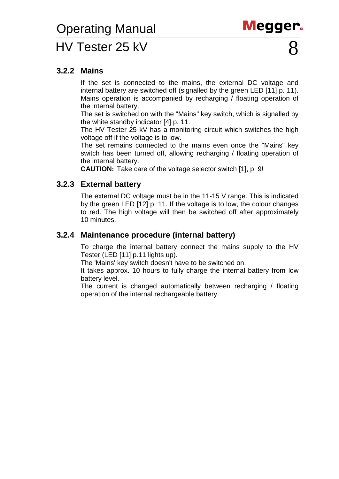#### <span id="page-13-0"></span>**3.2.2 Mains**

If the set is connected to the mains, the external DC voltage and internal battery are switched off (signalled by the green LED [11] p. [11\)](#page-16-2). Mains operation is accompanied by recharging / floating operation of the internal battery.

The set is switched on with the "Mains" key switch, which is signalled by the white standby indicator [4] p. [11.](#page-16-2)

The HV Tester 25 kV has a monitoring circuit which switches the high voltage off if the voltage is to low.

The set remains connected to the mains even once the "Mains" key switch has been turned off, allowing recharging / floating operation of the internal battery.

**CAUTION:** Take care of the voltage selector switch [1], p. [9!](#page-14-1)

#### <span id="page-13-1"></span>**3.2.3 External battery**

The external DC voltage must be in the 11-15 V range. This is indicated by the green LED [12] p. [11.](#page-16-2) If the voltage is to low, the colour changes to red. The high voltage will then be switched off after approximately 10 minutes.

#### <span id="page-13-2"></span>**3.2.4 Maintenance procedure (internal battery)**

To charge the internal battery connect the mains supply to the HV Tester (LED [11] p[.11](#page-16-2) lights up).

The 'Mains' key switch doesn't have to be switched on.

It takes approx. 10 hours to fully charge the internal battery from low battery level.

The current is changed automatically between recharging / floating operation of the internal rechargeable battery.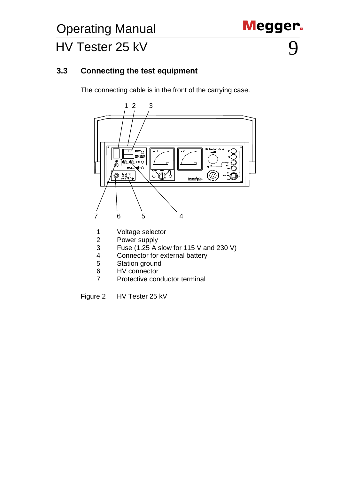## Operating Manual

## HV Tester 25 kV

#### <span id="page-14-0"></span>**3.3 Connecting the test equipment**

The connecting cable is in the front of the carrying case.



- 6 HV connector<br>7 Protective con
- Protective conductor terminal

<span id="page-14-1"></span>Figure 2 HV Tester 25 kV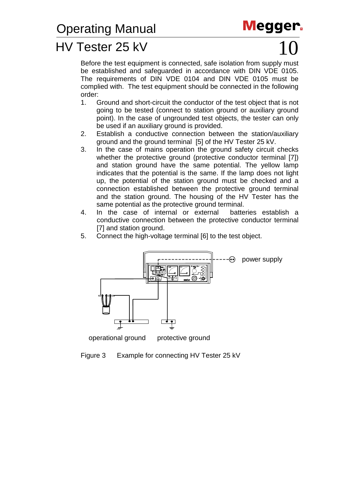Before the test equipment is connected, safe isolation from supply must be established and safeguarded in accordance with DIN VDE 0105. The requirements of DIN VDE 0104 and DIN VDE 0105 must be complied with. The test equipment should be connected in the following order:<br>1. G

**Megger**.

- 1. Ground and short-circuit the conductor of the test object that is not going to be tested (connect to station ground or auxiliary ground point). In the case of ungrounded test objects, the tester can only be used if an auxiliary ground is provided.
- 2. Establish a conductive connection between the station/auxiliary ground and the ground terminal [5] of the HV Tester 25 kV.
- 3. In the case of mains operation the ground safety circuit checks whether the protective ground (protective conductor terminal [7]) and station ground have the same potential. The yellow lamp indicates that the potential is the same. If the lamp does not light up, the potential of the station ground must be checked and a connection established between the protective ground terminal and the station ground. The housing of the HV Tester has the same potential as the protective ground terminal.
- 4. In the case of internal or external batteries establish a conductive connection between the protective conductor terminal [7] and station ground.
- 5. Connect the high-voltage terminal [6] to the test object.





<span id="page-15-0"></span>Figure 3 Example for connecting HV Tester 25 kV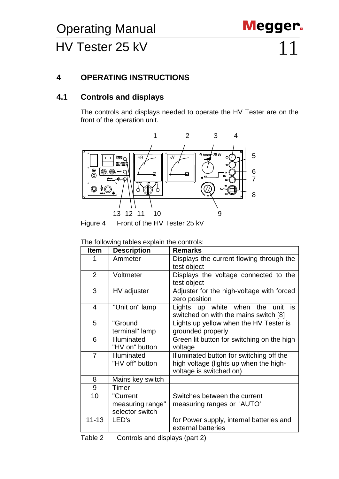Megger.

#### <span id="page-16-0"></span>**4 OPERATING INSTRUCTIONS**

#### <span id="page-16-1"></span>**4.1 Controls and displays**

The controls and displays needed to operate the HV Tester are on the front of the operation unit.



<span id="page-16-2"></span>Figure 4 Front of the HV Tester 25 kV

| <b>Item</b>    | <b>Description</b> | <b>Remarks</b>                             |
|----------------|--------------------|--------------------------------------------|
| 1              | Ammeter            | Displays the current flowing through the   |
|                |                    | test object                                |
| $\overline{2}$ | Voltmeter          | Displays the voltage connected to the      |
|                |                    | test object                                |
| 3              | HV adjuster        | Adjuster for the high-voltage with forced  |
|                |                    | zero position                              |
| 4              | "Unit on" lamp     | Lights up white when the unit<br>is        |
|                |                    | switched on with the mains switch [8]      |
| 5              | "Ground            | Lights up yellow when the HV Tester is     |
|                | terminal" lamp     | grounded properly                          |
| 6              | <b>Illuminated</b> | Green lit button for switching on the high |
|                | "HV on" button     | voltage                                    |
| $\overline{7}$ | Illuminated        | Illuminated button for switching off the   |
|                | "HV off" button    | high voltage (lights up when the high-     |
|                |                    | voltage is switched on)                    |
| 8              | Mains key switch   |                                            |
| 9              | Timer              |                                            |
| 10             | "Current           | Switches between the current               |
|                | measuring range"   | measuring ranges or 'AUTO'                 |
|                | selector switch    |                                            |
| $11 - 13$      | LED's              | for Power supply, internal batteries and   |
|                |                    | external batteries                         |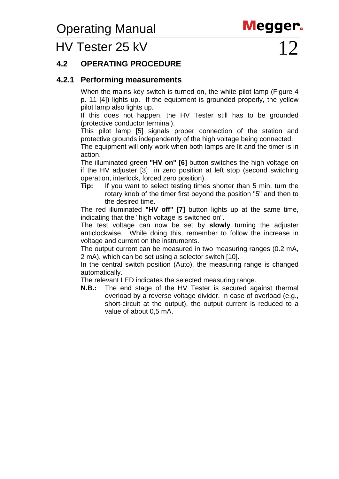#### <span id="page-17-0"></span>**4.2 OPERATING PROCEDURE**

#### <span id="page-17-1"></span>**4.2.1 Performing measurements**

When the mains key switch is turned on, the white pilot lamp [\(Figure 4](#page-16-2) p. [11](#page-16-2) [4]) lights up. If the equipment is grounded properly, the yellow pilot lamp also lights up.

If this does not happen, the HV Tester still has to be grounded (protective conductor terminal).

This pilot lamp [5] signals proper connection of the station and protective grounds independently of the high voltage being connected.

The equipment will only work when both lamps are lit and the timer is in action.

The illuminated green **"HV on" [6]** button switches the high voltage on if the HV adjuster [3] in zero position at left stop (second switching operation, interlock, forced zero position).

**Tip:** If you want to select testing times shorter than 5 min, turn the rotary knob of the timer first beyond the position "5" and then to the desired time.

The red illuminated **"HV off" [7]** button lights up at the same time, indicating that the "high voltage is switched on".

The test voltage can now be set by **slowly** turning the adjuster anticlockwise. While doing this, remember to follow the increase in voltage and current on the instruments.

The output current can be measured in two measuring ranges (0.2 mA, 2 mA), which can be set using a selector switch [10].

In the central switch position (Auto), the measuring range is changed automatically.

The relevant LED indicates the selected measuring range.

**N.B.:** The end stage of the HV Tester is secured against thermal overload by a reverse voltage divider. In case of overload (e.g., short-circuit at the output), the output current is reduced to a value of about 0,5 mA.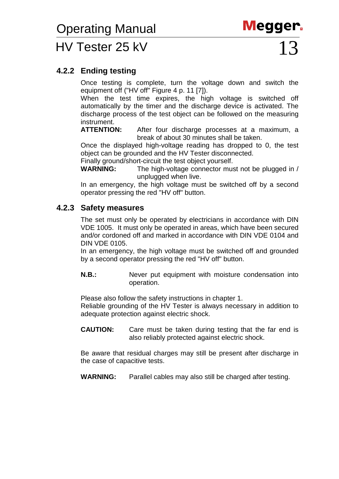<span id="page-18-0"></span>Once testing is complete, turn the voltage down and switch the equipment off ("HV off" [Figure 4](#page-16-2) p. [11](#page-16-2) [7]).

When the test time expires, the high voltage is switched off automatically by the timer and the discharge device is activated. The discharge process of the test object can be followed on the measuring instrument.<br>**ATTENTION:** 

After four discharge processes at a maximum, a break of about 30 minutes shall be taken.

Once the displayed high-voltage reading has dropped to 0, the test object can be grounded and the HV Tester disconnected.

Finally ground/short-circuit the test object yourself.<br>
WARNING: The high-voltage connector must

The high-voltage connector must not be plugged in / unplugged when live.

In an emergency, the high voltage must be switched off by a second operator pressing the red "HV off" button.

#### <span id="page-18-1"></span>**4.2.3 Safety measures**

The set must only be operated by electricians in accordance with DIN VDE 1005. It must only be operated in areas, which have been secured and/or cordoned off and marked in accordance with DIN VDE 0104 and DIN VDE 0105.

In an emergency, the high voltage must be switched off and grounded by a second operator pressing the red "HV off" button.

**N.B.:** Never put equipment with moisture condensation into operation.

Please also follow the safety instructions in chapter 1.

Reliable grounding of the HV Tester is always necessary in addition to adequate protection against electric shock.

**CAUTION:** Care must be taken during testing that the far end is also reliably protected against electric shock.

Be aware that residual charges may still be present after discharge in the case of capacitive tests.

**WARNING:** Parallel cables may also still be charged after testing.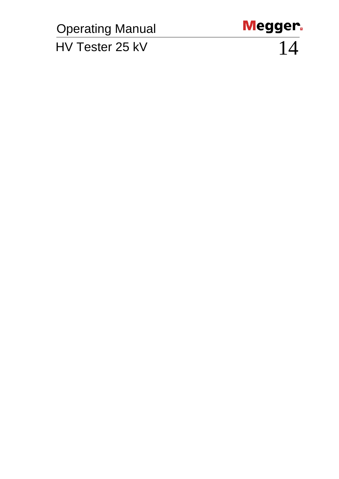Megger.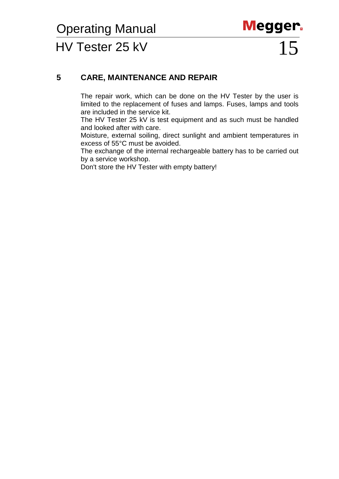# Megger.

#### <span id="page-20-0"></span>**5 CARE, MAINTENANCE AND REPAIR**

The repair work, which can be done on the HV Tester by the user is limited to the replacement of fuses and lamps. Fuses, lamps and tools are included in the service kit.

The HV Tester 25 kV is test equipment and as such must be handled and looked after with care.

Moisture, external soiling, direct sunlight and ambient temperatures in excess of 55°C must be avoided.

The exchange of the internal rechargeable battery has to be carried out by a service workshop.

Don't store the HV Tester with empty battery!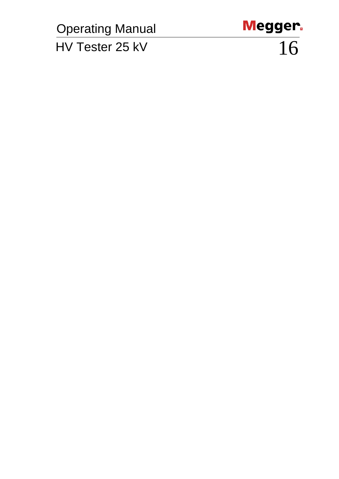Megger.